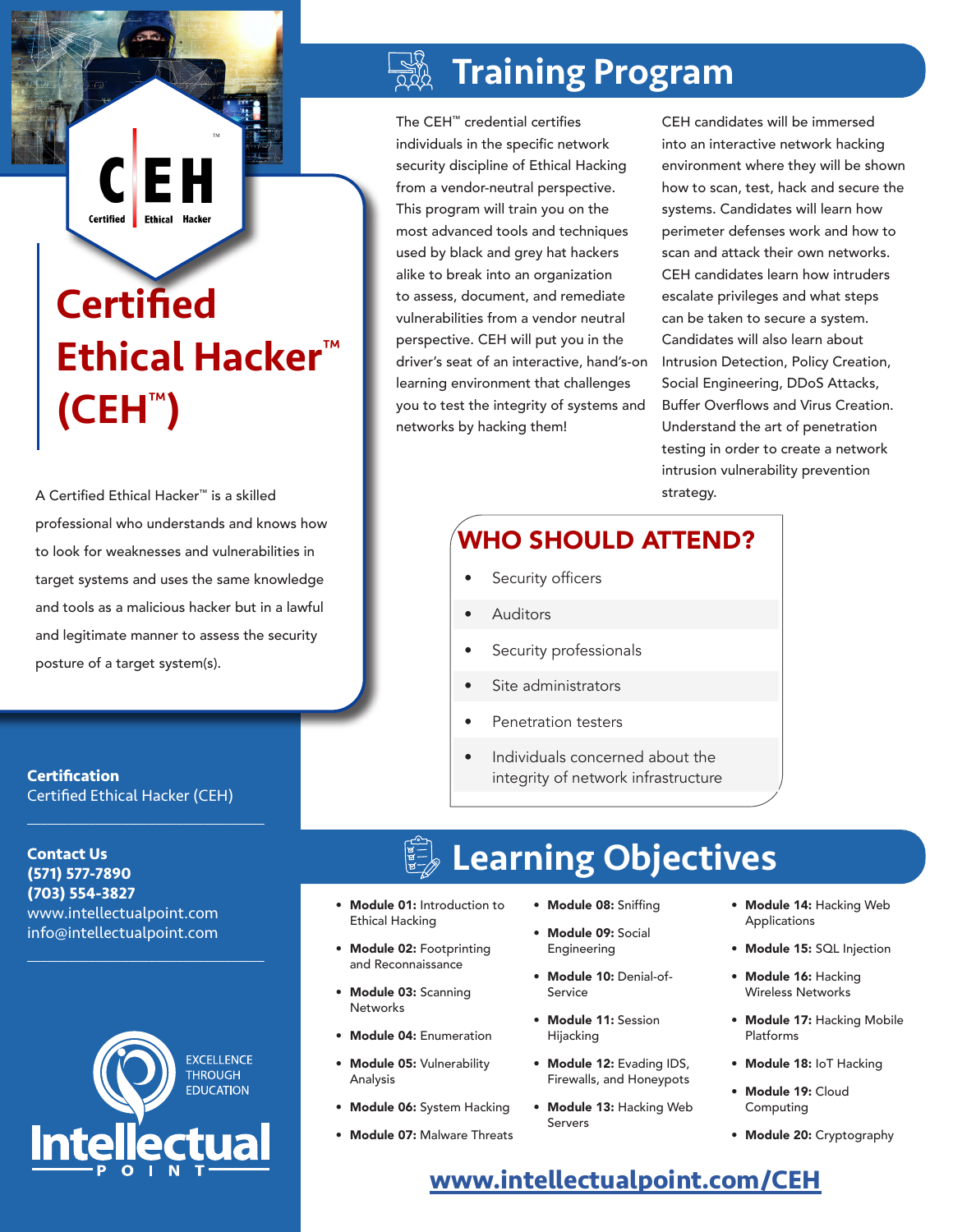# **Certified** Ethical Hacker™ (CEH™)

EI

Ethical Hacker

Certified |

A Certified Ethical Hacker™ is a skilled professional who understands and knows how to look for weaknesses and vulnerabilities in target systems and uses the same knowledge and tools as a malicious hacker but in a lawful and legitimate manner to assess the security posture of a target system(s).

**Certification** Certified Ethical Hacker (CEH)

 $\mathcal{L}_\text{max}$  and  $\mathcal{L}_\text{max}$  and  $\mathcal{L}_\text{max}$  and  $\mathcal{L}_\text{max}$ 

 $\mathcal{L}_\text{max}$  and  $\mathcal{L}_\text{max}$  and  $\mathcal{L}_\text{max}$  and  $\mathcal{L}_\text{max}$ 

**Contact Us (571) 577-7890 (703) 554-3827** www.intellectualpoint.com info@intellectualpoint.com



## Training Program

The CEH™ credential certifies individuals in the specific network security discipline of Ethical Hacking from a vendor-neutral perspective. This program will train you on the most advanced tools and techniques used by black and grey hat hackers alike to break into an organization to assess, document, and remediate vulnerabilities from a vendor neutral perspective. CEH will put you in the driver's seat of an interactive, hand's-on learning environment that challenges you to test the integrity of systems and networks by hacking them!

CEH candidates will be immersed into an interactive network hacking environment where they will be shown how to scan, test, hack and secure the systems. Candidates will learn how perimeter defenses work and how to scan and attack their own networks. CEH candidates learn how intruders escalate privileges and what steps can be taken to secure a system. Candidates will also learn about Intrusion Detection, Policy Creation, Social Engineering, DDoS Attacks, Buffer Overflows and Virus Creation. Understand the art of penetration testing in order to create a network intrusion vulnerability prevention strategy.

## WHO SHOULD ATTEND?

- Security officers
- **Auditors**
- Security professionals
- Site administrators
- Penetration testers
- Individuals concerned about the integrity of network infrastructure

## Learning Objectives

- Module 01: Introduction to Ethical Hacking
- Module 02: Footprinting and Reconnaissance
- Module 03: Scanning **Networks**
- Module 04: Enumeration
- Module 05: Vulnerability Analysis
- Module 06: System Hacking
- Module 07: Malware Threats
- Module 08: Sniffing
- Module 09: Social Engineering
- Module 10: Denial-of-Service
- Module 11: Session Hijacking
- Module 12: Evading IDS, Firewalls, and Honeypots
- Module 13: Hacking Web Servers
- Module 14: Hacking Web Applications
- Module 15: SQL Injection
- Module 16: Hacking Wireless Networks
- Module 17: Hacking Mobile Platforms
- Module 18: IoT Hacking
- Module 19: Cloud Computing
- Module 20: Cryptography

### **[www.intellectualpoint.com/CEH](https://www.intellectualpoint.com/CEH)**